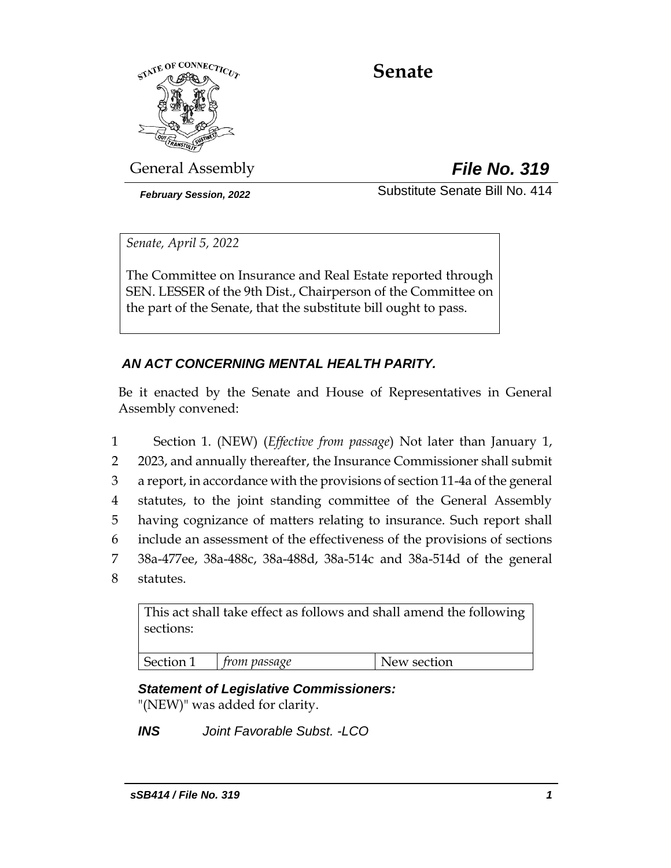

# **Senate**

General Assembly *File No. 319*

*February Session, 2022* Substitute Senate Bill No. 414

*Senate, April 5, 2022*

The Committee on Insurance and Real Estate reported through SEN. LESSER of the 9th Dist., Chairperson of the Committee on the part of the Senate, that the substitute bill ought to pass.

# *AN ACT CONCERNING MENTAL HEALTH PARITY.*

Be it enacted by the Senate and House of Representatives in General Assembly convened:

 Section 1. (NEW) (*Effective from passage*) Not later than January 1, 2 2023, and annually thereafter, the Insurance Commissioner shall submit a report, in accordance with the provisions of section 11-4a of the general statutes, to the joint standing committee of the General Assembly having cognizance of matters relating to insurance. Such report shall include an assessment of the effectiveness of the provisions of sections 38a-477ee, 38a-488c, 38a-488d, 38a-514c and 38a-514d of the general statutes.

This act shall take effect as follows and shall amend the following sections:

Section 1 *from passage* New section

# *Statement of Legislative Commissioners:*

"(NEW)" was added for clarity.

*INS Joint Favorable Subst. -LCO*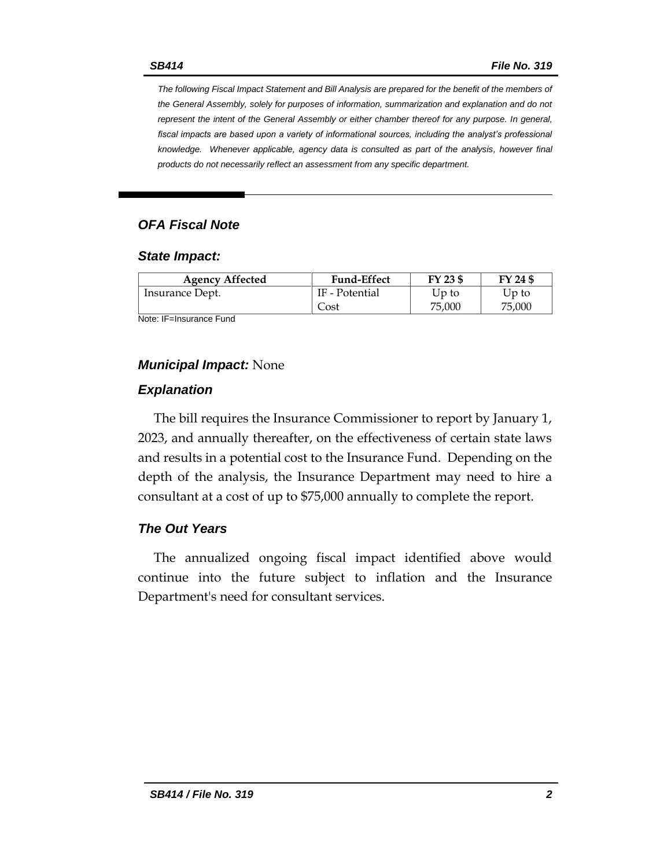*The following Fiscal Impact Statement and Bill Analysis are prepared for the benefit of the members of the General Assembly, solely for purposes of information, summarization and explanation and do not represent the intent of the General Assembly or either chamber thereof for any purpose. In general,*  fiscal impacts are based upon a variety of informational sources, including the analyst's professional *knowledge. Whenever applicable, agency data is consulted as part of the analysis, however final products do not necessarily reflect an assessment from any specific department.*

#### *OFA Fiscal Note*

#### *State Impact:*

| <b>Agency Affected</b> | <b>Fund-Effect</b> | FY 23 \$ | FY 24 \$ |
|------------------------|--------------------|----------|----------|
| Insurance Dept.        | IF - Potential     | Up to    | Up to    |
|                        | Cost               | 75,000   | 75,000   |

Note: IF=Insurance Fund

#### *Municipal Impact:* None

#### *Explanation*

The bill requires the Insurance Commissioner to report by January 1, 2023, and annually thereafter, on the effectiveness of certain state laws and results in a potential cost to the Insurance Fund. Depending on the depth of the analysis, the Insurance Department may need to hire a consultant at a cost of up to \$75,000 annually to complete the report.

#### *The Out Years*

The annualized ongoing fiscal impact identified above would continue into the future subject to inflation and the Insurance Department's need for consultant services.